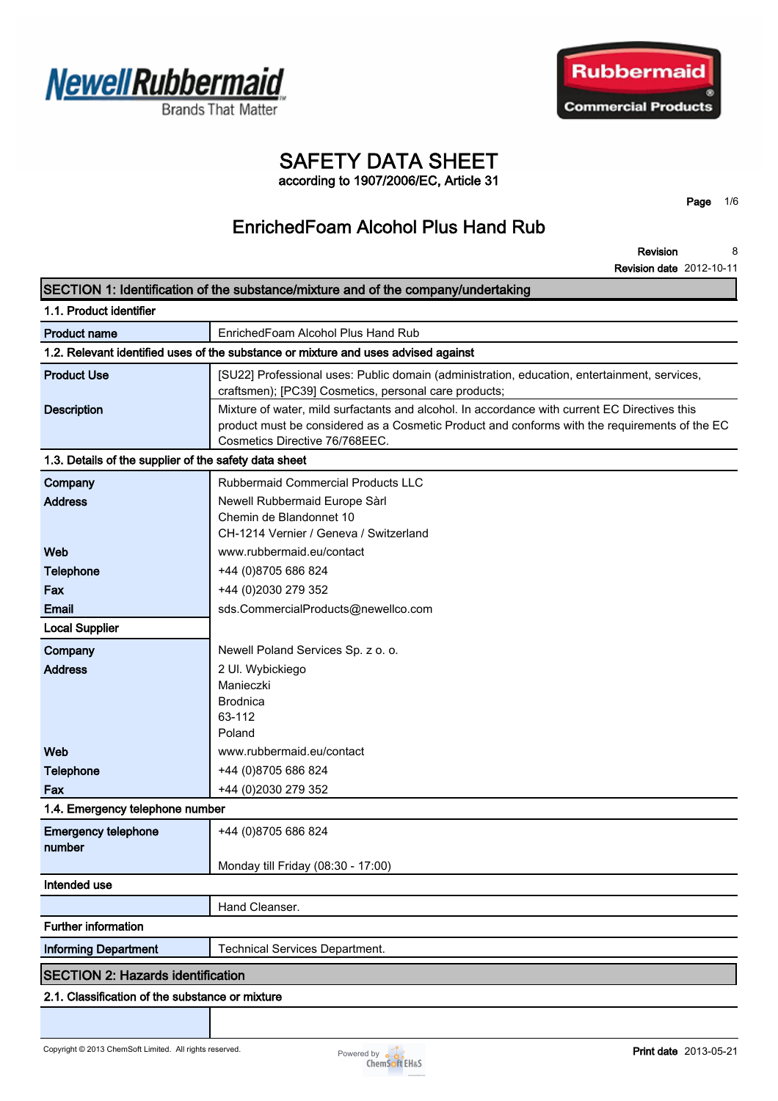



# **SAFETY DATA SHEET**

**according to 1907/2006/EC, Article 31**

**EnrichedFoam Alcohol Plus Hand Rub**

**Page 1/6**

**Revision Revision date 2012-10-11 8**

|                                                       | SECTION 1: Identification of the substance/mixture and of the company/undertaking                                                                                                                                                |  |  |
|-------------------------------------------------------|----------------------------------------------------------------------------------------------------------------------------------------------------------------------------------------------------------------------------------|--|--|
| 1.1. Product identifier                               |                                                                                                                                                                                                                                  |  |  |
| <b>Product name</b>                                   | EnrichedFoam Alcohol Plus Hand Rub                                                                                                                                                                                               |  |  |
|                                                       | 1.2. Relevant identified uses of the substance or mixture and uses advised against                                                                                                                                               |  |  |
| <b>Product Use</b>                                    | [SU22] Professional uses: Public domain (administration, education, entertainment, services,<br>craftsmen); [PC39] Cosmetics, personal care products;                                                                            |  |  |
| <b>Description</b>                                    | Mixture of water, mild surfactants and alcohol. In accordance with current EC Directives this<br>product must be considered as a Cosmetic Product and conforms with the requirements of the EC<br>Cosmetics Directive 76/768EEC. |  |  |
| 1.3. Details of the supplier of the safety data sheet |                                                                                                                                                                                                                                  |  |  |
| Company                                               | Rubbermaid Commercial Products LLC                                                                                                                                                                                               |  |  |
| <b>Address</b>                                        | Newell Rubbermaid Europe Sàrl<br>Chemin de Blandonnet 10<br>CH-1214 Vernier / Geneva / Switzerland                                                                                                                               |  |  |
| Web                                                   | www.rubbermaid.eu/contact                                                                                                                                                                                                        |  |  |
| <b>Telephone</b>                                      | +44 (0)8705 686 824                                                                                                                                                                                                              |  |  |
| Fax                                                   | +44 (0)2030 279 352                                                                                                                                                                                                              |  |  |
| Email                                                 | sds.CommercialProducts@newellco.com                                                                                                                                                                                              |  |  |
| <b>Local Supplier</b>                                 |                                                                                                                                                                                                                                  |  |  |
| Company                                               | Newell Poland Services Sp. z o. o.                                                                                                                                                                                               |  |  |
| <b>Address</b>                                        | 2 Ul. Wybickiego<br>Manieczki<br><b>Brodnica</b><br>63-112<br>Poland                                                                                                                                                             |  |  |
| Web                                                   | www.rubbermaid.eu/contact                                                                                                                                                                                                        |  |  |
| <b>Telephone</b>                                      | +44 (0)8705 686 824                                                                                                                                                                                                              |  |  |
| Fax                                                   | +44 (0)2030 279 352                                                                                                                                                                                                              |  |  |
| 1.4. Emergency telephone number                       |                                                                                                                                                                                                                                  |  |  |
| <b>Emergency telephone</b><br>number                  | +44 (0)8705 686 824                                                                                                                                                                                                              |  |  |
|                                                       | Monday till Friday (08:30 - 17:00)                                                                                                                                                                                               |  |  |
| Intended use                                          |                                                                                                                                                                                                                                  |  |  |
|                                                       | Hand Cleanser.                                                                                                                                                                                                                   |  |  |
| <b>Further information</b>                            |                                                                                                                                                                                                                                  |  |  |
| <b>Informing Department</b>                           | <b>Technical Services Department.</b>                                                                                                                                                                                            |  |  |
| <b>SECTION 2: Hazards identification</b>              |                                                                                                                                                                                                                                  |  |  |
| 2.1. Classification of the substance or mixture       |                                                                                                                                                                                                                                  |  |  |

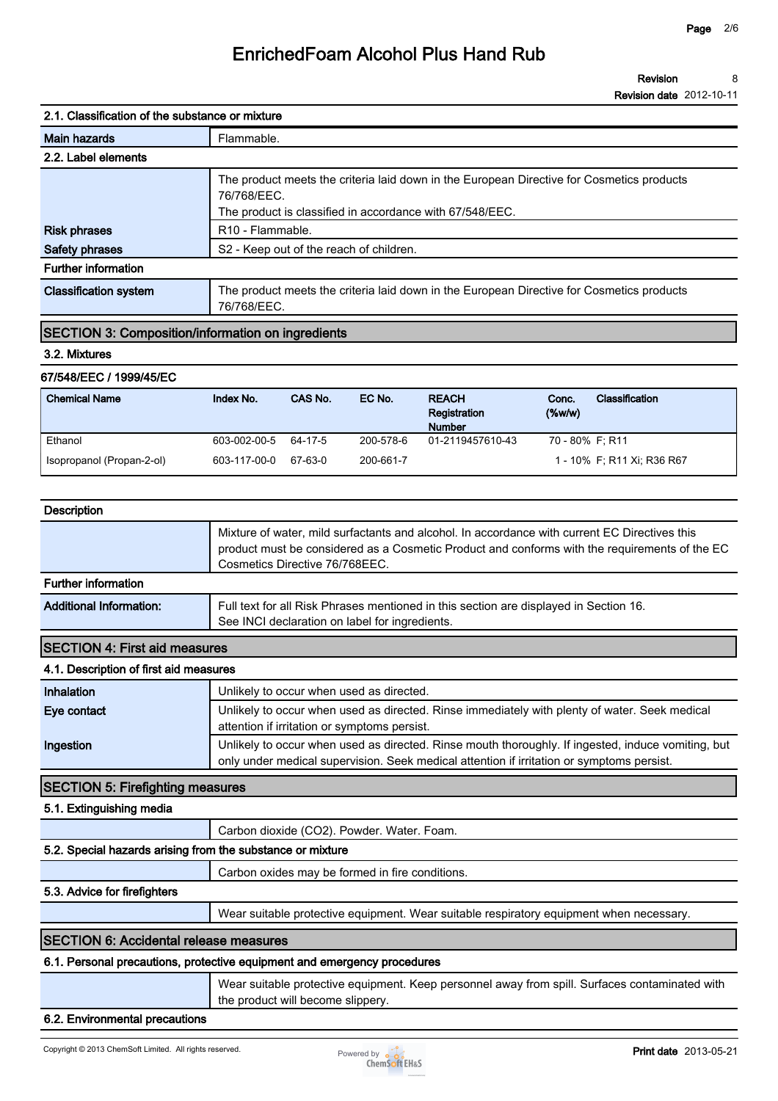**Revision Revision date 2012-10-11 8**

### **2.1. Classification of the substance or mixture**

| <b>Main hazards</b>          | Flammable.                                                                                                                                                           |  |  |  |
|------------------------------|----------------------------------------------------------------------------------------------------------------------------------------------------------------------|--|--|--|
| 2.2. Label elements          |                                                                                                                                                                      |  |  |  |
|                              | The product meets the criteria laid down in the European Directive for Cosmetics products<br>76/768/EEC.<br>The product is classified in accordance with 67/548/EEC. |  |  |  |
| <b>Risk phrases</b>          | R <sub>10</sub> - Flammable.                                                                                                                                         |  |  |  |
| <b>Safety phrases</b>        | S <sub>2</sub> - Keep out of the reach of children.                                                                                                                  |  |  |  |
| <b>Further information</b>   |                                                                                                                                                                      |  |  |  |
| <b>Classification system</b> | The product meets the criteria laid down in the European Directive for Cosmetics products<br>76/768/EEC.                                                             |  |  |  |

### **SECTION 3: Composition/information on ingredients**

### **3.2. Mixtures**

#### **67/548/EEC / 1999/45/EC**

| <b>Chemical Name</b>      | Index No.    | CAS No. | EC No.    | <b>REACH</b><br>Registration<br><b>Number</b> | Conc.<br>$(\%w/w)$ | Classification             |
|---------------------------|--------------|---------|-----------|-----------------------------------------------|--------------------|----------------------------|
| Ethanol                   | 603-002-00-5 | 64-17-5 | 200-578-6 | 01-2119457610-43                              | 70 - 80% F; R11    |                            |
| Isopropanol (Propan-2-ol) | 603-117-00-0 | 67-63-0 | 200-661-7 |                                               |                    | 1 - 10% F, R11 Xi, R36 R67 |

| <b>Description</b>             |                                                                                                                                                                                                                                  |
|--------------------------------|----------------------------------------------------------------------------------------------------------------------------------------------------------------------------------------------------------------------------------|
| <b>Further information</b>     | Mixture of water, mild surfactants and alcohol. In accordance with current EC Directives this<br>product must be considered as a Cosmetic Product and conforms with the requirements of the EC<br>Cosmetics Directive 76/768EEC. |
|                                |                                                                                                                                                                                                                                  |
| <b>Additional Information:</b> | Full text for all Risk Phrases mentioned in this section are displayed in Section 16.<br>See INCI declaration on label for ingredients.                                                                                          |
|                                |                                                                                                                                                                                                                                  |

### **SECTION 4: First aid measures**

### **4.1. Description of first aid measures**

| <b>Inhalation</b> | Unlikely to occur when used as directed.                                                           |  |  |  |
|-------------------|----------------------------------------------------------------------------------------------------|--|--|--|
| Eye contact       | Unlikely to occur when used as directed. Rinse immediately with plenty of water. Seek medical      |  |  |  |
|                   | attention if irritation or symptoms persist.                                                       |  |  |  |
| Ingestion         | Unlikely to occur when used as directed. Rinse mouth thoroughly. If ingested, induce vomiting, but |  |  |  |
|                   | only under medical supervision. Seek medical attention if irritation or symptoms persist.          |  |  |  |

### **SECTION 5: Firefighting measures**

**5.1. Extinguishing media**

**Carbon dioxide (CO2). Powder. Water. Foam.**

### **5.2. Special hazards arising from the substance or mixture**

**Carbon oxides may be formed in fire conditions.**

### **5.3. Advice for firefighters**

**Wear suitable protective equipment. Wear suitable respiratory equipment when necessary.**

### **SECTION 6: Accidental release measures**

### **6.1. Personal precautions, protective equipment and emergency procedures**

**Wear suitable protective equipment. Keep personnel away from spill. Surfaces contaminated with the product will become slippery.**

### **6.2. Environmental precautions**

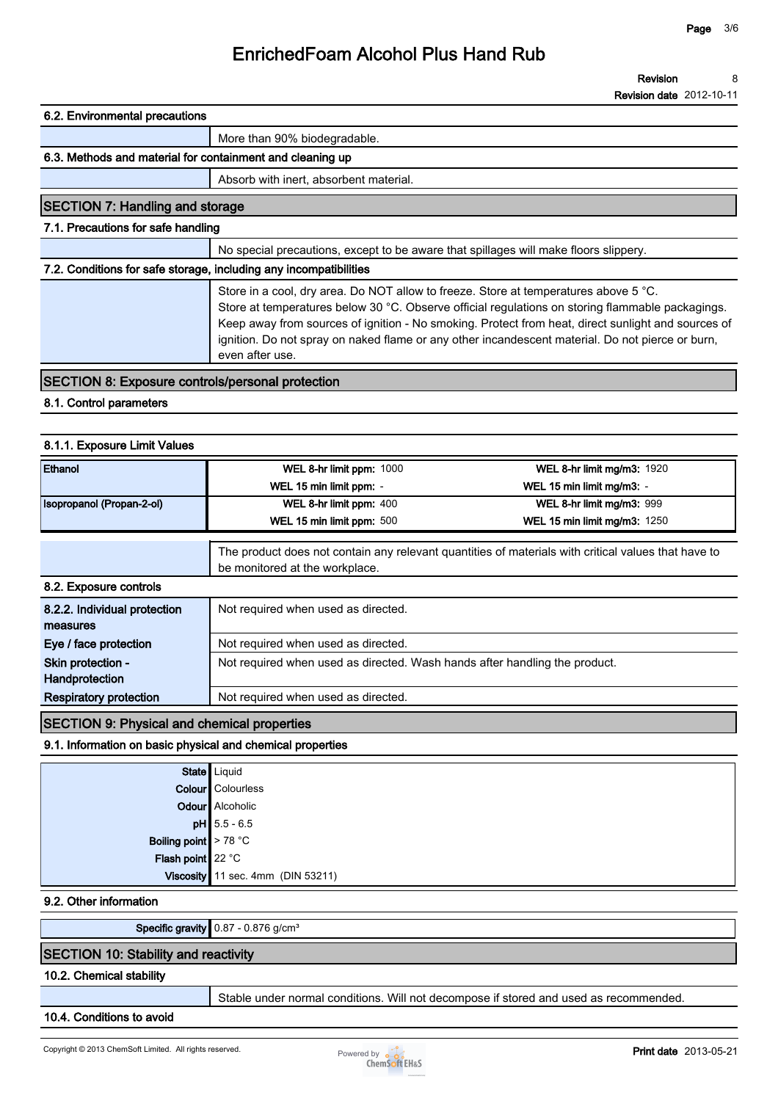**Revision Revision date 2012-10-11 8**

### **6.2. Environmental precautions**

|                                                                   | More than 90% biodegradable.                                                                                                                                                                                                                                                                   |
|-------------------------------------------------------------------|------------------------------------------------------------------------------------------------------------------------------------------------------------------------------------------------------------------------------------------------------------------------------------------------|
| 6.3. Methods and material for containment and cleaning up         |                                                                                                                                                                                                                                                                                                |
|                                                                   | Absorb with inert, absorbent material.                                                                                                                                                                                                                                                         |
| <b>SECTION 7: Handling and storage</b>                            |                                                                                                                                                                                                                                                                                                |
| 7.1. Precautions for safe handling                                |                                                                                                                                                                                                                                                                                                |
|                                                                   | No special precautions, except to be aware that spillages will make floors slippery.                                                                                                                                                                                                           |
| 7.2. Conditions for safe storage, including any incompatibilities |                                                                                                                                                                                                                                                                                                |
|                                                                   | Store in a cool, dry area. Do NOT allow to freeze. Store at temperatures above 5 °C.<br>Store at temperatures below 30 °C. Observe official regulations on storing flammable packagings.<br>Keep away from sources of ignition - No smoking. Protect from heat, direct sunlight and sources of |

### **SECTION 8: Exposure controls/personal protection**

**even after use.**

### **8.1. Control parameters**

### **8.1.1. Exposure Limit Values**

| Ethanol                                  | WEL 8-hr limit ppm: 1000                                                   | <b>WEL 8-hr limit mg/m3: 1920</b>                                                                   |  |
|------------------------------------------|----------------------------------------------------------------------------|-----------------------------------------------------------------------------------------------------|--|
|                                          | WEL 15 min limit ppm: -                                                    | WEL 15 min limit mg/m3: -                                                                           |  |
| Isopropanol (Propan-2-ol)                | WEL 8-hr limit ppm: 400                                                    | WEL 8-hr limit mg/m3: 999                                                                           |  |
|                                          | WEL 15 min limit ppm: 500                                                  | <b>WEL 15 min limit mg/m3: 1250</b>                                                                 |  |
|                                          | be monitored at the workplace.                                             | The product does not contain any relevant quantities of materials with critical values that have to |  |
| 8.2. Exposure controls                   |                                                                            |                                                                                                     |  |
| 8.2.2. Individual protection<br>measures | Not required when used as directed.                                        |                                                                                                     |  |
| Eye / face protection                    | Not required when used as directed.                                        |                                                                                                     |  |
| Skin protection -                        | Not required when used as directed. Wash hands after handling the product. |                                                                                                     |  |
| Handprotection                           |                                                                            |                                                                                                     |  |
| <b>Respiratory protection</b>            | Not required when used as directed.                                        |                                                                                                     |  |

**ignition. Do not spray on naked flame or any other incandescent material. Do not pierce or burn,** 

### **SECTION 9: Physical and chemical properties**

### **9.1. Information on basic physical and chemical properties**

|                                                                                              | State Liquid                      |
|----------------------------------------------------------------------------------------------|-----------------------------------|
|                                                                                              | <b>Colour</b> Colourless          |
|                                                                                              | Odour Alcoholic                   |
| <b>pH</b> $\left  \frac{5.5 - 6.5}{2.5 - 6.5} \right $<br>Boiling point<br>Flash point 22 °C |                                   |
|                                                                                              |                                   |
|                                                                                              |                                   |
|                                                                                              | Viscosity 11 sec. 4mm (DIN 53211) |

**9.2. Other information**

**Specific gravity 0.87 - 0.876 g/cm³**

### **SECTION 10: Stability and reactivity**

### **10.2. Chemical stability**

**Stable under normal conditions. Will not decompose if stored and used as recommended.**

**10.4. Conditions to avoid**

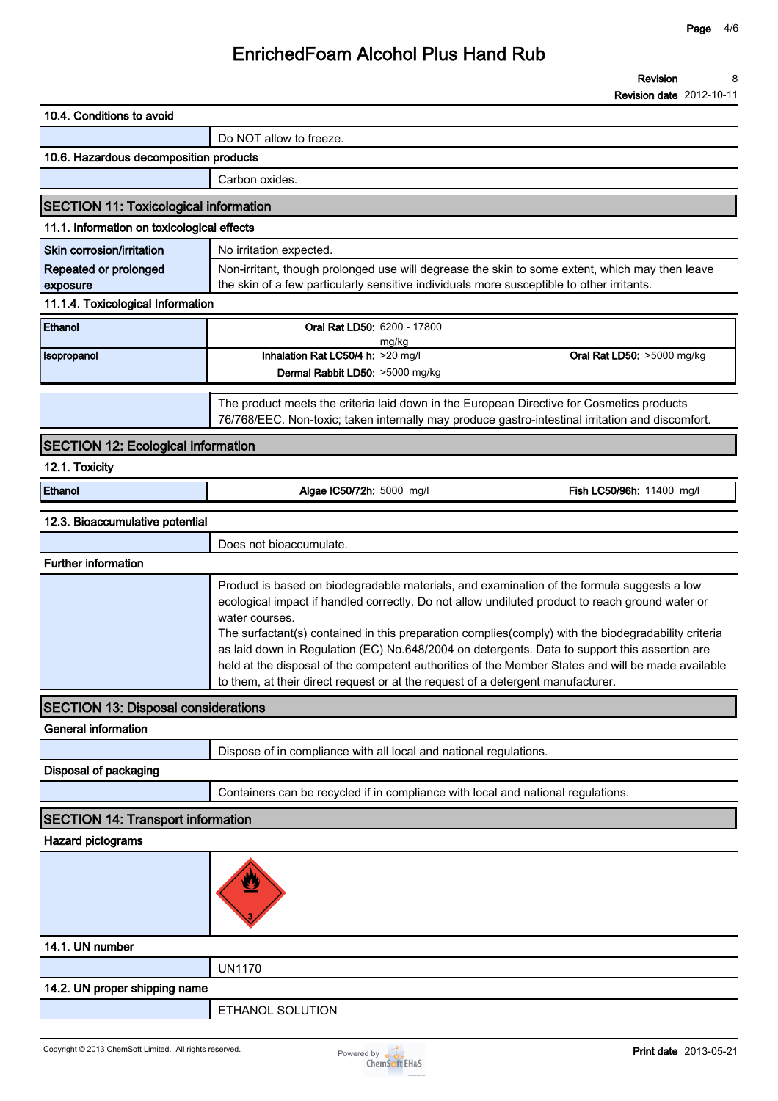**Revision 8**

|                                              |                                                                                                                                                                                                                                                                                                                                                                                                                                                                                                                                                                                                                 | <b>Revision date</b> 2012-10-11 |
|----------------------------------------------|-----------------------------------------------------------------------------------------------------------------------------------------------------------------------------------------------------------------------------------------------------------------------------------------------------------------------------------------------------------------------------------------------------------------------------------------------------------------------------------------------------------------------------------------------------------------------------------------------------------------|---------------------------------|
| 10.4. Conditions to avoid                    |                                                                                                                                                                                                                                                                                                                                                                                                                                                                                                                                                                                                                 |                                 |
|                                              | Do NOT allow to freeze.                                                                                                                                                                                                                                                                                                                                                                                                                                                                                                                                                                                         |                                 |
| 10.6. Hazardous decomposition products       |                                                                                                                                                                                                                                                                                                                                                                                                                                                                                                                                                                                                                 |                                 |
|                                              | Carbon oxides.                                                                                                                                                                                                                                                                                                                                                                                                                                                                                                                                                                                                  |                                 |
| <b>SECTION 11: Toxicological information</b> |                                                                                                                                                                                                                                                                                                                                                                                                                                                                                                                                                                                                                 |                                 |
| 11.1. Information on toxicological effects   |                                                                                                                                                                                                                                                                                                                                                                                                                                                                                                                                                                                                                 |                                 |
| Skin corrosion/irritation                    | No irritation expected.                                                                                                                                                                                                                                                                                                                                                                                                                                                                                                                                                                                         |                                 |
| Repeated or prolonged<br>exposure            | Non-irritant, though prolonged use will degrease the skin to some extent, which may then leave<br>the skin of a few particularly sensitive individuals more susceptible to other irritants.                                                                                                                                                                                                                                                                                                                                                                                                                     |                                 |
| 11.1.4. Toxicological Information            |                                                                                                                                                                                                                                                                                                                                                                                                                                                                                                                                                                                                                 |                                 |
| Ethanol                                      | Oral Rat LD50: 6200 - 17800<br>mg/kg                                                                                                                                                                                                                                                                                                                                                                                                                                                                                                                                                                            |                                 |
| Isopropanol                                  | Inhalation Rat LC50/4 h: >20 mg/l<br>Oral Rat LD50: >5000 mg/kg<br>Dermal Rabbit LD50: >5000 mg/kg                                                                                                                                                                                                                                                                                                                                                                                                                                                                                                              |                                 |
|                                              | The product meets the criteria laid down in the European Directive for Cosmetics products<br>76/768/EEC. Non-toxic; taken internally may produce gastro-intestinal irritation and discomfort.                                                                                                                                                                                                                                                                                                                                                                                                                   |                                 |
| <b>SECTION 12: Ecological information</b>    |                                                                                                                                                                                                                                                                                                                                                                                                                                                                                                                                                                                                                 |                                 |
| 12.1. Toxicity                               |                                                                                                                                                                                                                                                                                                                                                                                                                                                                                                                                                                                                                 |                                 |
| Ethanol                                      | Algae IC50/72h: 5000 mg/l<br>Fish LC50/96h: 11400 mg/l                                                                                                                                                                                                                                                                                                                                                                                                                                                                                                                                                          |                                 |
| 12.3. Bioaccumulative potential              |                                                                                                                                                                                                                                                                                                                                                                                                                                                                                                                                                                                                                 |                                 |
|                                              | Does not bioaccumulate.                                                                                                                                                                                                                                                                                                                                                                                                                                                                                                                                                                                         |                                 |
| <b>Further information</b>                   |                                                                                                                                                                                                                                                                                                                                                                                                                                                                                                                                                                                                                 |                                 |
|                                              | Product is based on biodegradable materials, and examination of the formula suggests a low<br>ecological impact if handled correctly. Do not allow undiluted product to reach ground water or<br>water courses.<br>The surfactant(s) contained in this preparation complies(comply) with the biodegradability criteria<br>as laid down in Regulation (EC) No.648/2004 on detergents. Data to support this assertion are<br>held at the disposal of the competent authorities of the Member States and will be made available<br>to them, at their direct request or at the request of a detergent manufacturer. |                                 |
| <b>SECTION 13: Disposal considerations</b>   |                                                                                                                                                                                                                                                                                                                                                                                                                                                                                                                                                                                                                 |                                 |
| <b>General information</b>                   |                                                                                                                                                                                                                                                                                                                                                                                                                                                                                                                                                                                                                 |                                 |
|                                              | Dispose of in compliance with all local and national regulations.                                                                                                                                                                                                                                                                                                                                                                                                                                                                                                                                               |                                 |
| Disposal of packaging                        |                                                                                                                                                                                                                                                                                                                                                                                                                                                                                                                                                                                                                 |                                 |
|                                              | Containers can be recycled if in compliance with local and national regulations.                                                                                                                                                                                                                                                                                                                                                                                                                                                                                                                                |                                 |
| <b>SECTION 14: Transport information</b>     |                                                                                                                                                                                                                                                                                                                                                                                                                                                                                                                                                                                                                 |                                 |
| Hazard pictograms                            |                                                                                                                                                                                                                                                                                                                                                                                                                                                                                                                                                                                                                 |                                 |
|                                              |                                                                                                                                                                                                                                                                                                                                                                                                                                                                                                                                                                                                                 |                                 |
| 14.1. UN number                              |                                                                                                                                                                                                                                                                                                                                                                                                                                                                                                                                                                                                                 |                                 |
|                                              | <b>UN1170</b>                                                                                                                                                                                                                                                                                                                                                                                                                                                                                                                                                                                                   |                                 |
| 14.2. UN proper shipping name                |                                                                                                                                                                                                                                                                                                                                                                                                                                                                                                                                                                                                                 |                                 |
|                                              | ETHANOL SOLUTION                                                                                                                                                                                                                                                                                                                                                                                                                                                                                                                                                                                                |                                 |
|                                              |                                                                                                                                                                                                                                                                                                                                                                                                                                                                                                                                                                                                                 |                                 |

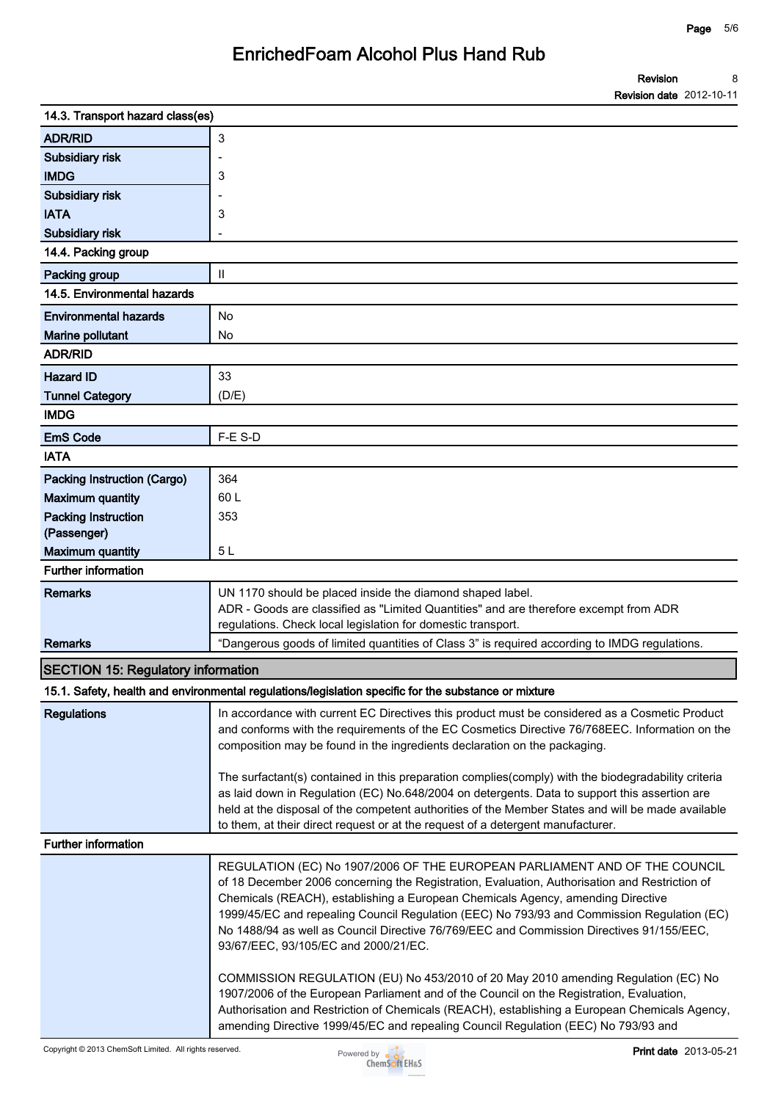| 14.3. Transport hazard class(es)          |                                                                                                                                                                                                                                                                                                                                                                                                                                                                                                                                                                                                                                                                                                                                                                                                                                                                          |
|-------------------------------------------|--------------------------------------------------------------------------------------------------------------------------------------------------------------------------------------------------------------------------------------------------------------------------------------------------------------------------------------------------------------------------------------------------------------------------------------------------------------------------------------------------------------------------------------------------------------------------------------------------------------------------------------------------------------------------------------------------------------------------------------------------------------------------------------------------------------------------------------------------------------------------|
| <b>ADR/RID</b>                            | 3                                                                                                                                                                                                                                                                                                                                                                                                                                                                                                                                                                                                                                                                                                                                                                                                                                                                        |
| Subsidiary risk                           |                                                                                                                                                                                                                                                                                                                                                                                                                                                                                                                                                                                                                                                                                                                                                                                                                                                                          |
| <b>IMDG</b>                               | 3                                                                                                                                                                                                                                                                                                                                                                                                                                                                                                                                                                                                                                                                                                                                                                                                                                                                        |
| Subsidiary risk                           |                                                                                                                                                                                                                                                                                                                                                                                                                                                                                                                                                                                                                                                                                                                                                                                                                                                                          |
| <b>IATA</b>                               | 3                                                                                                                                                                                                                                                                                                                                                                                                                                                                                                                                                                                                                                                                                                                                                                                                                                                                        |
| Subsidiary risk                           |                                                                                                                                                                                                                                                                                                                                                                                                                                                                                                                                                                                                                                                                                                                                                                                                                                                                          |
| 14.4. Packing group                       |                                                                                                                                                                                                                                                                                                                                                                                                                                                                                                                                                                                                                                                                                                                                                                                                                                                                          |
| Packing group                             | $\mathbf{I}$                                                                                                                                                                                                                                                                                                                                                                                                                                                                                                                                                                                                                                                                                                                                                                                                                                                             |
| 14.5. Environmental hazards               |                                                                                                                                                                                                                                                                                                                                                                                                                                                                                                                                                                                                                                                                                                                                                                                                                                                                          |
| <b>Environmental hazards</b>              | No                                                                                                                                                                                                                                                                                                                                                                                                                                                                                                                                                                                                                                                                                                                                                                                                                                                                       |
| Marine pollutant                          | No                                                                                                                                                                                                                                                                                                                                                                                                                                                                                                                                                                                                                                                                                                                                                                                                                                                                       |
| <b>ADR/RID</b>                            |                                                                                                                                                                                                                                                                                                                                                                                                                                                                                                                                                                                                                                                                                                                                                                                                                                                                          |
| <b>Hazard ID</b>                          | 33                                                                                                                                                                                                                                                                                                                                                                                                                                                                                                                                                                                                                                                                                                                                                                                                                                                                       |
| <b>Tunnel Category</b>                    | (D/E)                                                                                                                                                                                                                                                                                                                                                                                                                                                                                                                                                                                                                                                                                                                                                                                                                                                                    |
| <b>IMDG</b>                               |                                                                                                                                                                                                                                                                                                                                                                                                                                                                                                                                                                                                                                                                                                                                                                                                                                                                          |
| <b>EmS Code</b>                           | F-E S-D                                                                                                                                                                                                                                                                                                                                                                                                                                                                                                                                                                                                                                                                                                                                                                                                                                                                  |
| <b>IATA</b>                               |                                                                                                                                                                                                                                                                                                                                                                                                                                                                                                                                                                                                                                                                                                                                                                                                                                                                          |
| Packing Instruction (Cargo)               | 364                                                                                                                                                                                                                                                                                                                                                                                                                                                                                                                                                                                                                                                                                                                                                                                                                                                                      |
| <b>Maximum quantity</b>                   | 60 L                                                                                                                                                                                                                                                                                                                                                                                                                                                                                                                                                                                                                                                                                                                                                                                                                                                                     |
| <b>Packing Instruction</b><br>(Passenger) | 353                                                                                                                                                                                                                                                                                                                                                                                                                                                                                                                                                                                                                                                                                                                                                                                                                                                                      |
| <b>Maximum quantity</b>                   | 5 <sub>L</sub>                                                                                                                                                                                                                                                                                                                                                                                                                                                                                                                                                                                                                                                                                                                                                                                                                                                           |
| <b>Further information</b>                |                                                                                                                                                                                                                                                                                                                                                                                                                                                                                                                                                                                                                                                                                                                                                                                                                                                                          |
| <b>Remarks</b>                            | UN 1170 should be placed inside the diamond shaped label.<br>ADR - Goods are classified as "Limited Quantities" and are therefore excempt from ADR<br>regulations. Check local legislation for domestic transport.                                                                                                                                                                                                                                                                                                                                                                                                                                                                                                                                                                                                                                                       |
| <b>Remarks</b>                            | "Dangerous goods of limited quantities of Class 3" is required according to IMDG regulations.                                                                                                                                                                                                                                                                                                                                                                                                                                                                                                                                                                                                                                                                                                                                                                            |
| <b>SECTION 15: Regulatory information</b> |                                                                                                                                                                                                                                                                                                                                                                                                                                                                                                                                                                                                                                                                                                                                                                                                                                                                          |
|                                           | 15.1. Safety, health and environmental regulations/legislation specific for the substance or mixture                                                                                                                                                                                                                                                                                                                                                                                                                                                                                                                                                                                                                                                                                                                                                                     |
| <b>Regulations</b>                        | In accordance with current EC Directives this product must be considered as a Cosmetic Product                                                                                                                                                                                                                                                                                                                                                                                                                                                                                                                                                                                                                                                                                                                                                                           |
|                                           | and conforms with the requirements of the EC Cosmetics Directive 76/768EEC. Information on the<br>composition may be found in the ingredients declaration on the packaging.                                                                                                                                                                                                                                                                                                                                                                                                                                                                                                                                                                                                                                                                                              |
|                                           | The surfactant(s) contained in this preparation complies(comply) with the biodegradability criteria<br>as laid down in Regulation (EC) No.648/2004 on detergents. Data to support this assertion are<br>held at the disposal of the competent authorities of the Member States and will be made available<br>to them, at their direct request or at the request of a detergent manufacturer.                                                                                                                                                                                                                                                                                                                                                                                                                                                                             |
| <b>Further information</b>                |                                                                                                                                                                                                                                                                                                                                                                                                                                                                                                                                                                                                                                                                                                                                                                                                                                                                          |
|                                           | REGULATION (EC) No 1907/2006 OF THE EUROPEAN PARLIAMENT AND OF THE COUNCIL<br>of 18 December 2006 concerning the Registration, Evaluation, Authorisation and Restriction of<br>Chemicals (REACH), establishing a European Chemicals Agency, amending Directive<br>1999/45/EC and repealing Council Regulation (EEC) No 793/93 and Commission Regulation (EC)<br>No 1488/94 as well as Council Directive 76/769/EEC and Commission Directives 91/155/EEC,<br>93/67/EEC, 93/105/EC and 2000/21/EC.<br>COMMISSION REGULATION (EU) No 453/2010 of 20 May 2010 amending Regulation (EC) No<br>1907/2006 of the European Parliament and of the Council on the Registration, Evaluation,<br>Authorisation and Restriction of Chemicals (REACH), establishing a European Chemicals Agency,<br>amending Directive 1999/45/EC and repealing Council Regulation (EEC) No 793/93 and |